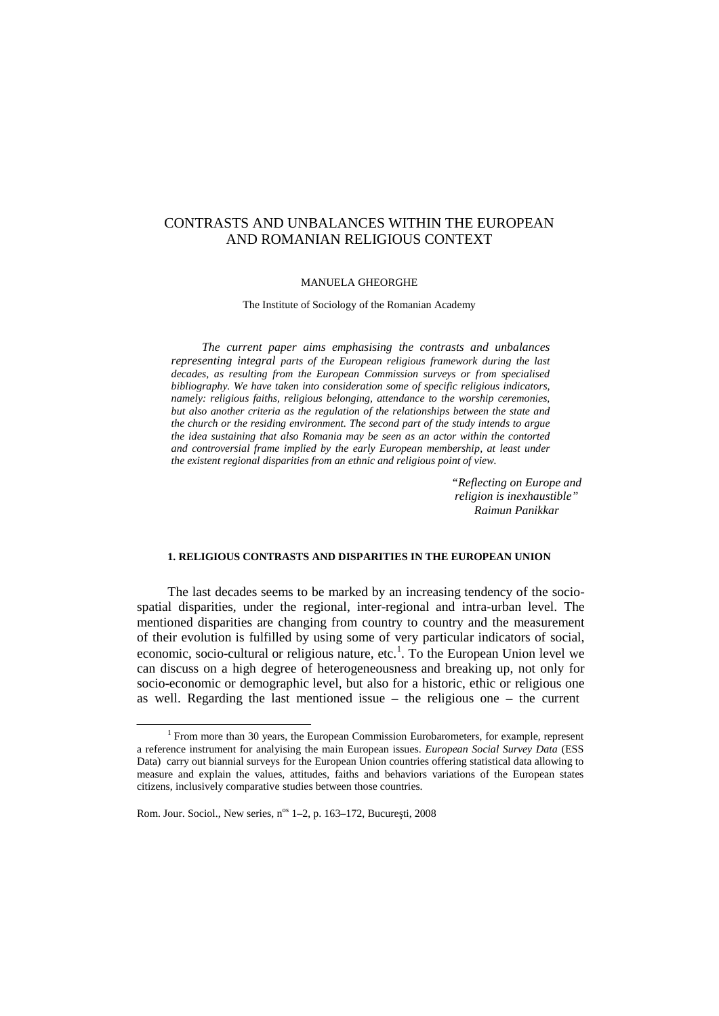# CONTRASTS AND UNBALANCES WITHIN THE EUROPEAN AND ROMANIAN RELIGIOUS CONTEXT

#### MANUELA GHEORGHE

The Institute of Sociology of the Romanian Academy

*The current paper aims emphasising the contrasts and unbalances representing integral parts of the European religious framework during the last decades, as resulting from the European Commission surveys or from specialised bibliography. We have taken into consideration some of specific religious indicators, namely: religious faiths, religious belonging, attendance to the worship ceremonies, but also another criteria as the regulation of the relationships between the state and the church or the residing environment. The second part of the study intends to argue the idea sustaining that also Romania may be seen as an actor within the contorted and controversial frame implied by the early European membership, at least under the existent regional disparities from an ethnic and religious point of view.*

> *"Reflecting on Europe and religion is inexhaustible" Raimun Panikkar*

## **1. RELIGIOUS CONTRASTS AND DISPARITIES IN THE EUROPEAN UNION**

The last decades seems to be marked by an increasing tendency of the socio spatial disparities, under the regional, inter-regional and intra-urban level. The mentioned disparities are changing from country to country and the measurement of their evolution is fulfilled by using some of very particular indicators of social, economic, socio-cultural or religious nature, etc.<sup>1</sup>. To the European Union level we can discuss on a high degree of heterogeneousness and breaking up, not only for socio-economic or demographic level, but also for a historic, ethic or religious one as well. Regarding the last mentioned issue – the religious one – the current

 $1$  From more than 30 years, the European Commission Eurobarometers, for example, represent a reference instrument for analyising the main European issues. *European Social Survey Data* (ESS Data) carry out biannial surveys for the European Union countries offering statistical data allowing to measure and explain the values, attitudes, faiths and behaviors variations of the European states citizens, inclusively comparative studies between those countries.

Rom. Jour. Sociol., New series, n<sup>os</sup> 1–2, p. 163–172, Bucure ti, 2008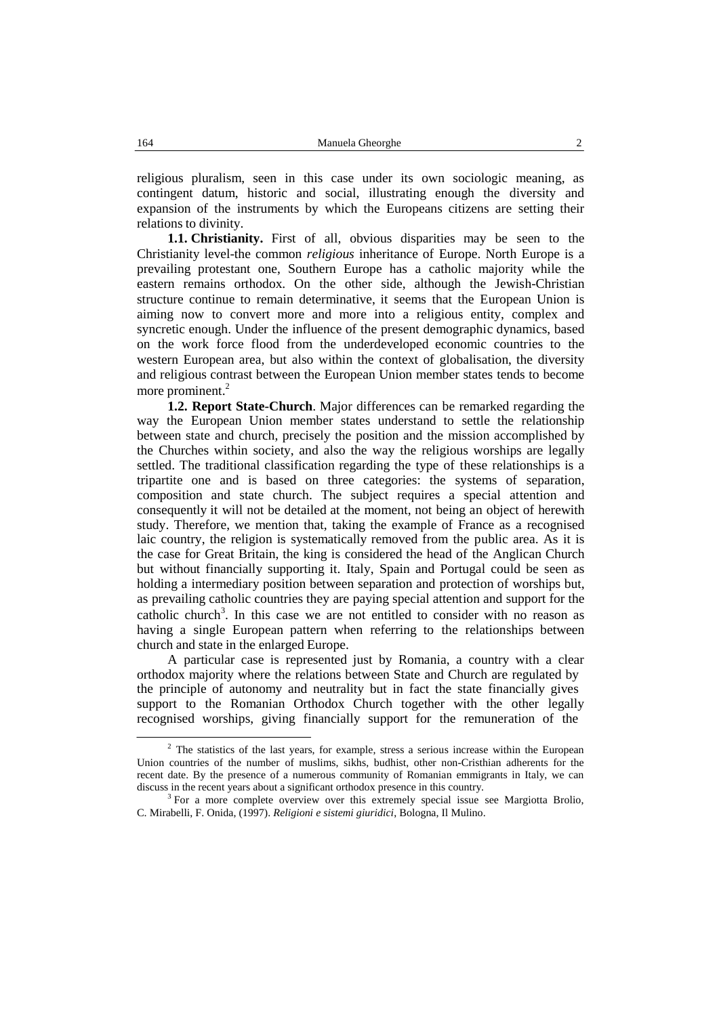religious pluralism, seen in this case under its own sociologic meaning, as contingent datum, historic and social, illustrating enough the diversity and expansion of the instruments by which the Europeans citizens are setting their relations to divinity.

**1.1. Christianity.** First of all, obvious disparities may be seen to the Christianity level-the common *religious* inheritance of Europe. North Europe is a prevailing protestant one, Southern Europe has a catholic majority while the eastern remains orthodox. On the other side, although the Jewish-Christian structure continue to remain determinative, it seems that the European Union is aiming now to convert more and more into a religious entity, complex and syncretic enough. Under the influence of the present demographic dynamics, based on the work force flood from the underdeveloped economic countries to the western European area, but also within the context of globalisation, the diversity and religious contrast between the European Union member states tends to become more prominent.<sup>2</sup>

**1.2. Report State-Church**. Major differences can be remarked regarding the way the European Union member states understand to settle the relationship between state and church, precisely the position and the mission accomplished by the Churches within society, and also the way the religious worships are legally settled. The traditional classification regarding the type of these relationships is a tripartite one and is based on three categories: the systems of separation, composition and state church. The subject requires a special attention and consequently it will not be detailed at the moment, not being an object of herewith study. Therefore, we mention that, taking the example of France as a recognised laic country, the religion is systematically removed from the public area. As it is the case for Great Britain, the king is considered the head of the Anglican Church but without financially supporting it. Italy, Spain and Portugal could be seen as holding a intermediary position between separation and protection of worships but, as prevailing catholic countries they are paying special attention and support for the catholic church 3 . In this case we are not entitled to consider with no reason as having a single European pattern when referring to the relationships between church and state in the enlarged Europe.

A particular case is represented just by Romania, a country with a clear orthodox majority where the relations between State and Church are regulated by the principle of autonomy and neutrality but in fact the state financially gives support to the Romanian Orthodox Church together with the other legally recognised worships, giving financially support for the remuneration of the

<sup>&</sup>lt;sup>2</sup> The statistics of the last years, for example, stress a serious increase within the European Union countries of the number of muslims, sikhs, budhist, other non-Cristhian adherents for the recent date. By the presence of a numerous community of Romanian emmigrants in Italy, we can discuss in the recent years about a significant orthodox presence in this country.

 $3$  For a more complete overview over this extremely special issue see Margiotta Brolio, C. Mirabelli, F. Onida, (1997). *Religioni e sistemi giuridici*, Bologna, Il Mulino.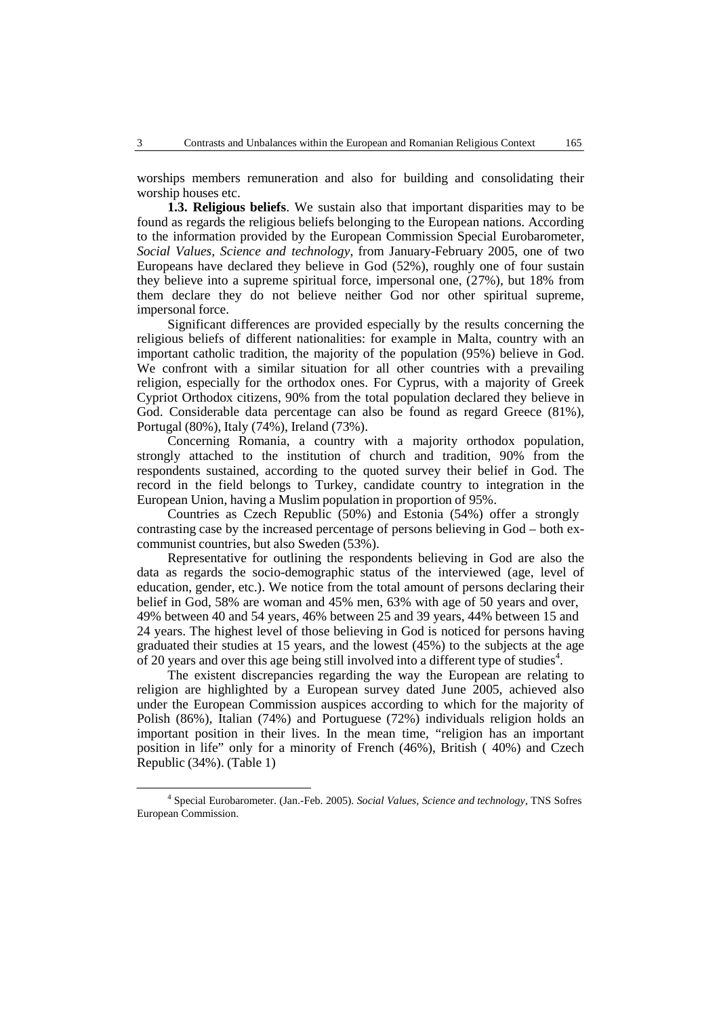worships members remuneration and also for building and consolidating their worship houses etc.

**1.3. Religious beliefs**. We sustain also that important disparities may to be found as regards the religious beliefs belonging to the European nations. According to the information provided by the European Commission Special Eurobarometer, *Social Values, Science and technology*, from January-February 2005, one of two Europeans have declared they believe in God (52%), roughly one of four sustain they believe into a supreme spiritual force, impersonal one, (27%), but 18% from them declare they do not believe neither God nor other spiritual supreme, impersonal force.

Significant differences are provided especially by the results concerning the religious beliefs of different nationalities: for example in Malta, country with an important catholic tradition, the majority of the population (95%) believe in God. We confront with a similar situation for all other countries with a prevailing religion, especially for the orthodox ones. For Cyprus, with a majority of Greek Cypriot Orthodox citizens, 90% from the total population declared they believe in God. Considerable data percentage can also be found as regard Greece (81%), Portugal (80%), Italy (74%), Ireland (73%).

Concerning Romania, a country with a majority orthodox population, strongly attached to the institution of church and tradition, 90% from the respondents sustained, according to the quoted survey their belief in God. The record in the field belongs to Turkey, candidate country to integration in the European Union, having a Muslim population in proportion of 95%.

Countries as Czech Republic (50%) and Estonia (54%) offer a strongly contrasting case by the increased percentage of persons believing in God – both ex communist countries, but also Sweden (53%).

Representative for outlining the respondents believing in God are also the data as regards the socio-demographic status of the interviewed (age, level of education, gender, etc.). We notice from the total amount of persons declaring their belief in God, 58% are woman and 45% men, 63% with age of 50 years and over, 49% between 40 and 54 years, 46% between 25 and 39 years, 44% between 15 and 24 years. The highest level of those believing in God is noticed for persons having graduated their studies at 15 years, and the lowest (45%) to the subjects at the age of 20 years and over this age being still involved into a different type of studies 4 .

The existent discrepancies regarding the way the European are relating to religion are highlighted by a European survey dated June 2005, achieved also under the European Commission auspices according to which for the majority of Polish (86%), Italian (74%) and Portuguese (72%) individuals religion holds an important position in their lives. In the mean time, "religion has an important position in life" only for a minority of French  $(46\%)$ , British ( $40\%$ ) and Czech Republic (34%). (Table 1)

<sup>4</sup> Special Eurobarometer. (Jan.-Feb. 2005). *Social Values, Science and technology*, TNS Sofres European Commission.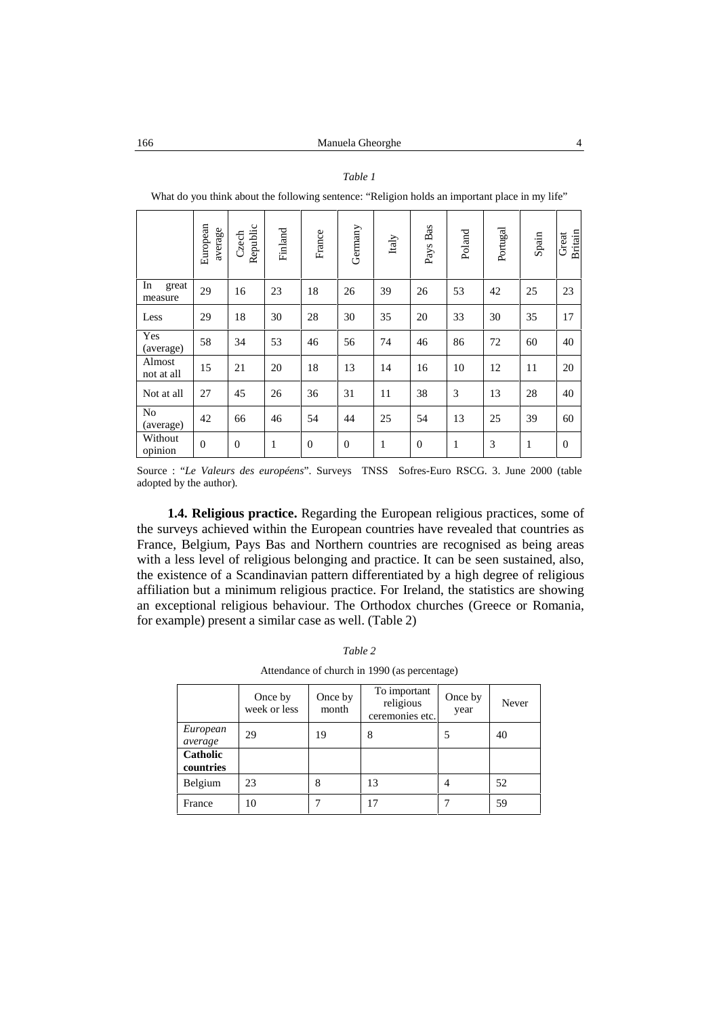#### *Table 1*

|               |       | ean<br>age<br>Europe<br>ä<br>ಡ | $\circ$<br>$\cdot$ $-$<br>≏<br>ن<br>Reput<br>g | and<br><b>Finl</b> | $\omega$<br>c<br>Ēã | ≻<br>man<br>Ger | ➢<br>Ital | s<br>ದ<br>$\approx$<br>$\omega$<br>≻<br>ಡ<br>تم | and<br>ಕ<br>≏ | –<br>gg<br>≍<br>ᅀ | Spain | Britain<br>Great |
|---------------|-------|--------------------------------|------------------------------------------------|--------------------|---------------------|-----------------|-----------|-------------------------------------------------|---------------|-------------------|-------|------------------|
| In<br>measure | great | 29                             | 16                                             | 23                 | 18                  | 26              | 39        | 26                                              | 53            | 42                | 25    | 23               |

Less 29 18 30 28 30 35 20 33 30 35 17

(average) <sup>58</sup> <sup>34</sup> <sup>53</sup> <sup>46</sup> <sup>56</sup> <sup>74</sup> <sup>46</sup> <sup>86</sup> <sup>72</sup> <sup>60</sup> <sup>40</sup>

 $\frac{1000 \text{ N}}{\text{not at all}}$  15 21 20 18 13 14 16 10 12 11 20 Not at all 27 45 26 36 31 11 38 3 13 28 40

(average)  $\begin{vmatrix} 42 \\ 66 \end{vmatrix}$  66  $\begin{vmatrix} 46 \\ 54 \end{vmatrix}$  54  $\begin{vmatrix} 25 \\ 25 \end{vmatrix}$  54  $\begin{vmatrix} 13 \\ 13 \end{vmatrix}$  25  $\begin{vmatrix} 39 \\ 39 \end{vmatrix}$  60

opinion <sup>0</sup> <sup>0</sup> <sup>1</sup> <sup>0</sup> <sup>0</sup> <sup>1</sup> <sup>0</sup> <sup>1</sup> <sup>3</sup> <sup>1</sup> <sup>0</sup>

What do you think about the following sentence: "Religion holds an important place in my life"

Source : "*Le Valeurs des européens*". Surveys TNSS Sofres-Euro RSCG. 3. June 2000 (table adopted by the author).

**1.4. Religious practice.** Regarding the European religious practices, some of the surveys achieved within the European countries have revealed that countries as France, Belgium, Pays Bas and Northern countries are recognised as being areas with a less level of religious belonging and practice. It can be seen sustained, also, the existence of a Scandinavian pattern differentiated by a high degree of religious affiliation buta minimum religious practice. For Ireland, the statistics are showing an exceptional religious behaviour. The Orthodox churches (Greece or Romania, for example) present a similar case as well. (Table 2)

| $A$ uchdance of church in $1770$ (as percentage) |                         |                  |                                              |                 |       |  |  |  |  |
|--------------------------------------------------|-------------------------|------------------|----------------------------------------------|-----------------|-------|--|--|--|--|
|                                                  | Once by<br>week or less | Once by<br>month | To important<br>religious<br>ceremonies etc. | Once by<br>year | Never |  |  |  |  |
| European<br>average                              | 29                      | 19               | 8                                            | 5               | 40    |  |  |  |  |
| Catholic<br>countries                            |                         |                  |                                              |                 |       |  |  |  |  |
| Belgium                                          | 23                      | 8                | 13                                           | 4               | 52    |  |  |  |  |
| France                                           | 10                      |                  | 17                                           |                 | 59    |  |  |  |  |

*Table 2*

Attendance of church in 1990 (as percentage)

Yes

No

Without  $\begin{bmatrix} 0 \end{bmatrix}$ 

Almost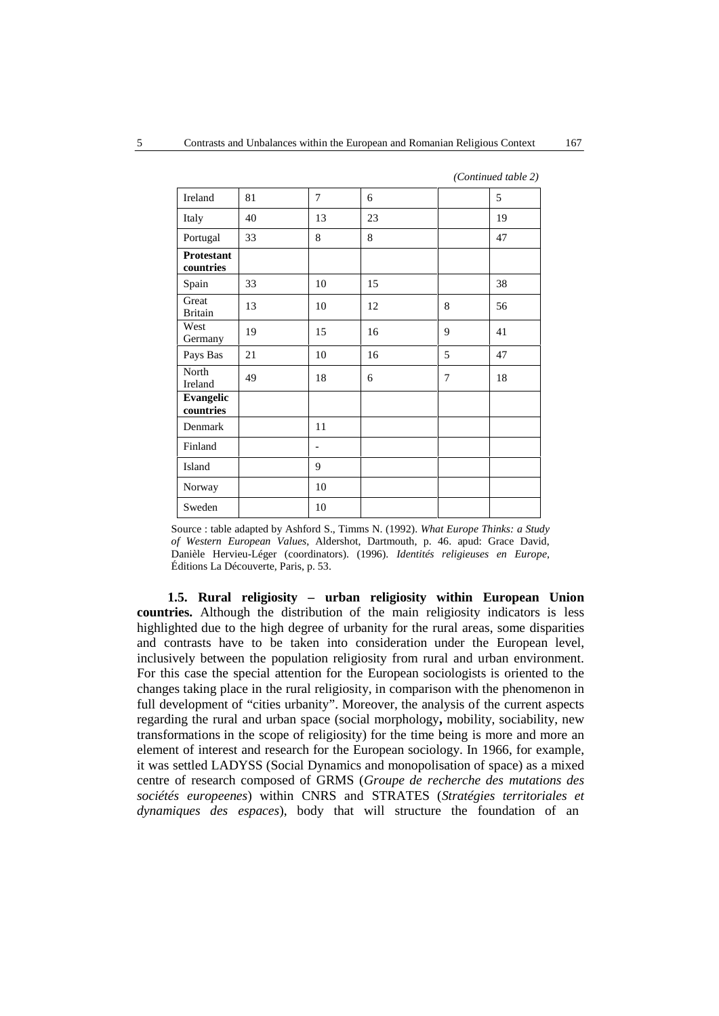| Ireland                        | 81 | 7  | 6  |        | 5  |
|--------------------------------|----|----|----|--------|----|
| Italy                          | 40 | 13 | 23 |        | 19 |
| Portugal                       | 33 | 8  | 8  |        | 47 |
| <b>Protestant</b><br>countries |    |    |    |        |    |
| Spain                          | 33 | 10 | 15 |        | 38 |
| Great<br><b>Britain</b>        | 13 | 10 | 12 | 8      | 56 |
| West<br>Germany                | 19 | 15 | 16 | 9      | 41 |
| Pays Bas                       | 21 | 10 | 16 | 5      | 47 |
| North<br>Ireland               | 49 | 18 | 6  | $\tau$ | 18 |
| Evangelic<br>countries         |    |    |    |        |    |
| Denmark                        |    | 11 |    |        |    |
| Finland                        |    | -  |    |        |    |
| Island                         |    | 9  |    |        |    |
| Norway                         |    | 10 |    |        |    |
| Sweden                         |    | 10 |    |        |    |

*(Continued table 2)*

Source : table adapted by Ashford S., Timms N. (1992). *What Europe Thinks: a Study of Western European Values*, Aldershot, Dartmouth, p. 46. apud: Grace David, Danièle Hervieu-Léger (coordinators). (1996). *Identités religieuses en Europe*, Éditions La Découverte, Paris, p. 53.

**1.5. Rural religiosity – urban religiosity within European Union countries.** Although the distribution of the main religiosity indicators is less highlighted due to the high degree of urbanity for the rural areas, some disparities and contrasts have to be taken into consideration under the European level, inclusively between the population religiosity from rural and urban environment. For this case the special attention for the European sociologists is oriented to the changes taking place in the rural religiosity, in comparison with the phenomenon in full development of "cities urbanity". Moreover, the analysis of the current aspects regarding the rural and urban space (social morphology**,** mobility, sociability, new transformations in the scope of religiosity) for the time being is more and more an element of interest and research for the European sociology. In 1966, for example, it was settled LADYSS (Social Dynamics and monopolisation of space) as a mixed centre of research composed of GRMS (*Groupe de recherche des mutations des sociétés europeenes*) within CNRS and STRATES (*Stratégies territoriales et dynamiques des espaces*), body that will structure the foundation of an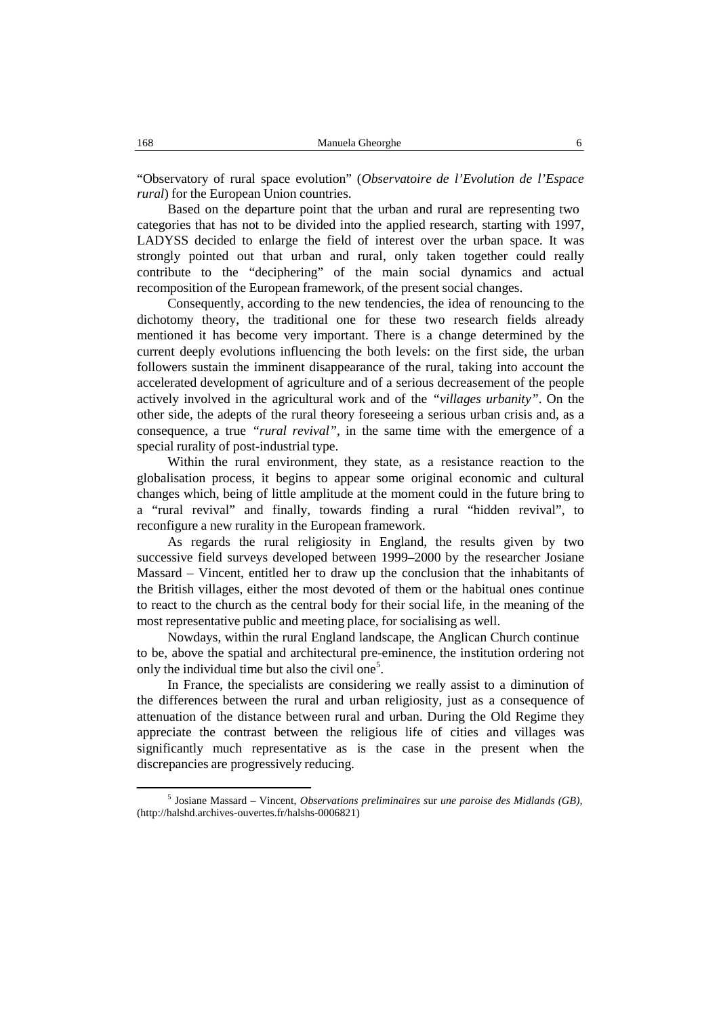"Observatory of rural space evolution" (Observatoire de l'Evolution de l'Espace *rural*) for the European Union countries.

Based on the departure point that the urban and rural are representing two categories that has not to be divided into the applied research, starting with 1997, LADYSS decided to enlarge the field of interest over the urban space. It was strongly pointed out that urban and rural, only taken together could really contribute to the "deciphering" of the main social dynamics and actual recomposition of the European framework, of the present social changes.

Consequently, according to the new tendencies, the idea of renouncing to the dichotomy theory, the traditional one for these two research fields already mentioned it has become very important. There is a change determined by the current deeply evolutions influencing the both levels: on the first side, the urban followers sustain the imminent disappearance of the rural, taking into account the accelerated development of agriculture and of a serious decreasement of the people actively involved in the agricultural work and of the *"villages urbanity*". On the other side, the adepts of the rural theory foreseeing a serious urban crisis and, as a consequence, a true *"rural revival"*, in the same time with the emergence of a special rurality of post-industrial type.

Within the rural environment, they state, as a resistance reaction to the globalisation process, it begins to appear some original economic and cultural changes which, being of little amplitude at the moment could in the future bring to a "rural revival" and finally, towards finding a rural "hidden revival", to reconfigure a new rurality in the European framework.

As regards the rural religiosity in England, the results given by two successive field surveys developed between 1999–2000 by the researcher Josiane Massard – Vincent, entitled her to draw up the conclusion that the inhabitants of the British villages, either the most devoted of them or the habitual ones continue to react to the church as the central body for their social life, in the meaning of the most representative public and meeting place, for socialising as well.

Nowdays, within the rural England landscape, the Anglican Church continue to be, above the spatial and architectural pre-eminence, the institution ordering not only the individual time but also the civil one<sup>5</sup>.

In France, the specialists are considering we really assist to a diminution of the differences between the rural and urban religiosity, just as a consequence of attenuation of the distance between rural and urban. During the Old Regime they appreciate the contrast between the religious life of cities and villages was significantly much representative as is the case in the present when the discrepancies are progressively reducing.

<sup>5</sup> Josiane Massard – Vincent, *Observations preliminaires s*ur *une paroise des Midlands (GB),* (http://halshd.archives-ouvertes.fr/halshs-0006821)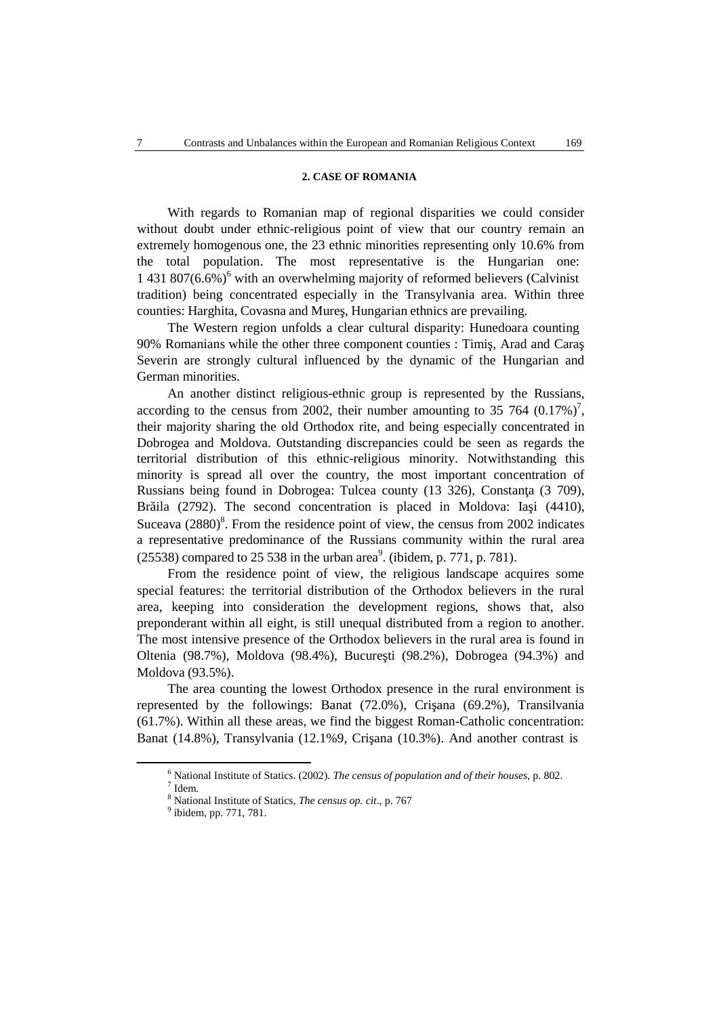# **2. CASE OF ROMANIA**

With regards to Romanian map of regional disparities we could consider without doubt under ethnic-religious point of view that our country remain an extremely homogenous one, the 23 ethnic minorities representing only 10.6% from the total population. The most representative is the Hungarian one: 1 431 807(6.6%) <sup>6</sup> with an overwhelming majority of reformed believers (Calvinist tradition) being concentrated especially in the Transylvania area. Within three counties: Harghita, Covasna and Mure, Hungarian ethnics are prevailing.

The Western region unfolds a clear cultural disparity: Hunedoara counting 90% Romanians while the other three component counties : Timi, Arad and Cara Severin are strongly cultural influenced by the dynamic of the Hungarian and German minorities.

An another distinct religious-ethnic group is represented by the Russians, according to the census from 2002, their number amounting to 35 764  $(0.17\%)$ <sup>7</sup>, their majority sharing the old Orthodox rite, and being especially concentrated in Dobrogea and Moldova. Outstanding discrepancies could be seen as regards the territorial distribution of this ethnic-religious minority. Notwithstanding this minority is spread all over the country, the most important concentration of Russians being found in Dobrogea: Tulcea county (13 326), Constan a (3 709), Br ila  $(2792)$ . The second concentration is placed in Moldova: Ia i  $(4410)$ , Suceava (2880) 8 . From the residence point of view, the census from 2002 indicates a representative predominance of the Russians community within the rural area  $(25538)$  compared to 25 538 in the urban area<sup>9</sup>. (ibidem, p. 771, p. 781).

From the residence point of view, the religious landscape acquires some special features: the territorial distribution of the Orthodox believers in the rural area, keeping into consideration the development regions, shows that, also preponderant within all eight, is still unequal distributed from a region to another. The most intensive presence of the Orthodox believers in the rural area is found in Oltenia (98.7%), Moldova (98.4%), Bucure ti (98.2%), Dobrogea (94.3%) and Moldova (93.5%).

The area counting the lowest Orthodox presence in the rural environment is represented by the followings: Banat  $(72.0\%)$ , Cri ana  $(69.2\%)$ , Transilvania (61.7%). Within all these areas, we find the biggest Roman-Catholic concentration: Banat  $(14.8\%)$ , Transylvania  $(12.1\%9)$ , Cri ana  $(10.3\%)$ . And another contrast is

 $^6$  National Institute of Statics. (2002). *The census of population and of their houses*, p. 802.  $^7$  Idem.

<sup>&</sup>lt;sup>8</sup> National Institute of Statics, *The census op. cit.*, p. 767

<sup>&</sup>lt;sup>9</sup> ibidem, pp. 771, 781.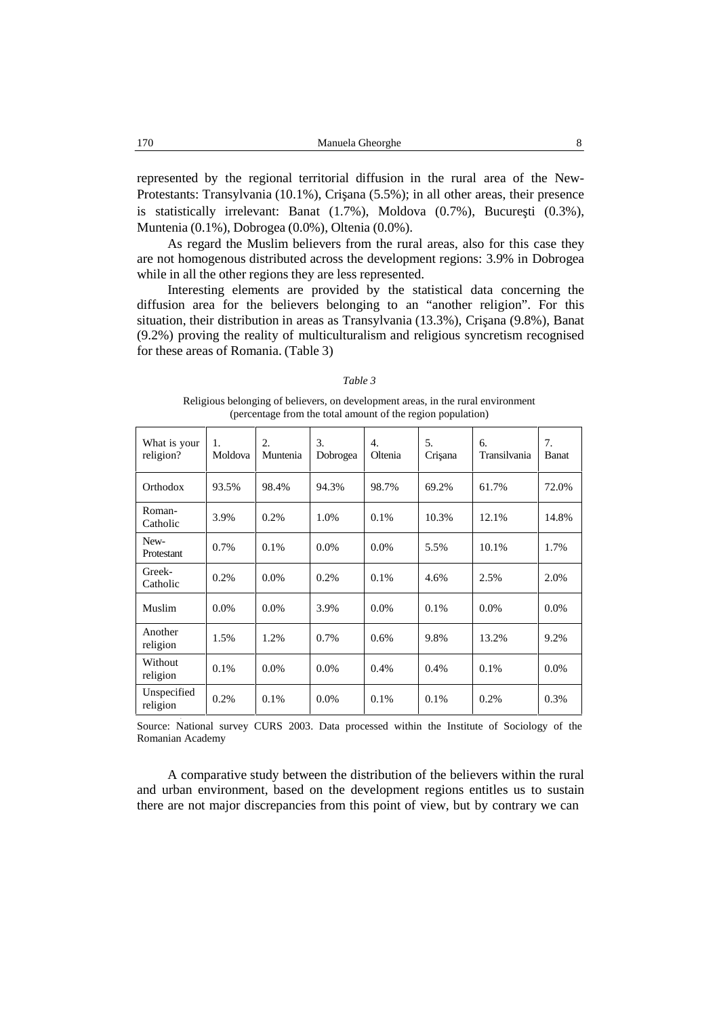represented by the regional territorial diffusion in the rural area of the New- Protestants: Transylvania (10.1%), Cri ana (5.5%); in all other areas, their presence is statistically irrelevant: Banat  $(1.7\%)$ , Moldova  $(0.7\%)$ , Bucure ti  $(0.3\%)$ , Muntenia (0.1%), Dobrogea (0.0%), Oltenia (0.0%).

As regard the Muslim believers from the rural areas, also for this case they are not homogenous distributed across the development regions: 3.9% in Dobrogea while in all the other regions they are less represented.

Interesting elements are provided by the statistical data concerning the diffusion area for the believers belonging to an "another religion". For this situation, their distribution in areas as Transylvania (13.3%), Cri ana (9.8%), Banat (9.2%) proving the reality of multiculturalism and religious syncretism recognised for these areas of Romania. (Table 3)

| What is your<br>religion? | 1.<br>Moldova | 2.<br>Muntenia | 3.<br>Dobrogea | 4.<br>Oltenia | 5.<br>Cri ana | 6.<br>Transilvania | 7.<br><b>Banat</b> |
|---------------------------|---------------|----------------|----------------|---------------|---------------|--------------------|--------------------|
| Orthodox                  | 93.5%         | 98.4%          | 94.3%          | 98.7%         | 69.2%         | 61.7%              | 72.0%              |
| Roman-<br>Catholic        | 3.9%          | 0.2%           | 1.0%           | $0.1\%$       | 10.3%         | 12.1%              | 14.8%              |
| New-<br>Protestant        | 0.7%          | 0.1%           | $0.0\%$        | $0.0\%$       | 5.5%          | 10.1%              | 1.7%               |
| Greek-<br>Catholic        | 0.2%          | $0.0\%$        | 0.2%           | $0.1\%$       | 4.6%          | 2.5%               | 2.0%               |
| Muslim                    | $0.0\%$       | 0.0%           | 3.9%           | $0.0\%$       | $0.1\%$       | $0.0\%$            | $0.0\%$            |
| Another<br>religion       | 1.5%          | 1.2%           | 0.7%           | $0.6\%$       | 9.8%          | 13.2%              | 9.2%               |
| Without<br>religion       | 0.1%          | $0.0\%$        | $0.0\%$        | $0.4\%$       | 0.4%          | 0.1%               | $0.0\%$            |
| Unspecified<br>religion   | 0.2%          | 0.1%           | 0.0%           | 0.1%          | 0.1%          | 0.2%               | 0.3%               |

*Table 3*

Religious belonging of believers, on development areas, in the rural environment (percentage from the total amount of the region population)

Source: National survey CURS 2003. Data processed within the Institute of Sociology of the Romanian Academy

A comparative study between the distribution of the believers within the rural and urban environment, based on the development regions entitles us to sustain there are not major discrepancies from this point of view, but by contrary we can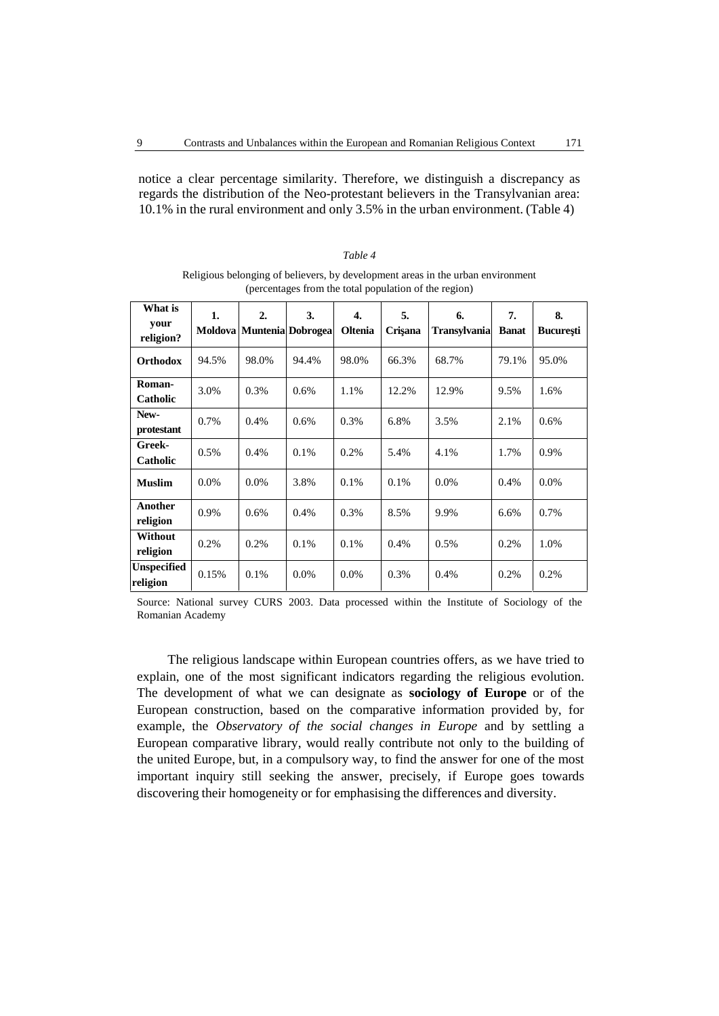notice a clear percentage similarity. Therefore, we distinguish a discrepancy as regards the distribution of the Neo-protestant believers in the Transylvanian area: 10.1% in the rural environment and only 3.5% in the urban environment. (Table 4)

| What is<br>your<br>religion?   | 1.      | 2.<br>Moldova   Muntenia   Dobrogea | 3.      | $\overline{4}$ .<br><b>Oltenia</b> | 5.<br>Cri ana | 6.<br><b>Transylvania</b> | 7.<br><b>Banat</b> | 8.<br><b>Bucure ti</b> |
|--------------------------------|---------|-------------------------------------|---------|------------------------------------|---------------|---------------------------|--------------------|------------------------|
| Orthodox                       | 94.5%   | 98.0%                               | 94.4%   | 98.0%                              | 66.3%         | 68.7%                     | 79.1%              | 95.0%                  |
| Roman-<br>Catholic             | 3.0%    | 0.3%                                | $0.6\%$ | 1.1%                               | 12.2%         | 12.9%                     | 9.5%               | 1.6%                   |
| New-<br>protestant             | 0.7%    | 0.4%                                | 0.6%    | 0.3%                               | 6.8%          | 3.5%                      | 2.1%               | $0.6\%$                |
| Greek-<br>Catholic             | 0.5%    | 0.4%                                | 0.1%    | 0.2%                               | 5.4%          | 4.1%                      | 1.7%               | 0.9%                   |
| <b>Muslim</b>                  | $0.0\%$ | $0.0\%$                             | 3.8%    | $0.1\%$                            | 0.1%          | $0.0\%$                   | 0.4%               | $0.0\%$                |
| Another<br>religion            | 0.9%    | 0.6%                                | 0.4%    | 0.3%                               | 8.5%          | 9.9%                      | 6.6%               | 0.7%                   |
| Without<br>religion            | 0.2%    | 0.2%                                | 0.1%    | $0.1\%$                            | 0.4%          | 0.5%                      | 0.2%               | 1.0%                   |
| <b>Unspecified</b><br>religion | 0.15%   | 0.1%                                | $0.0\%$ | $0.0\%$                            | 0.3%          | 0.4%                      | 0.2%               | 0.2%                   |

Religious belonging of believers, by development areas in the urban environment (percentages from the total population of the region)

*Table 4*

Source: National survey CURS 2003. Data processed within the Institute of Sociology of the Romanian Academy

The religious landscape within European countries offers, as we have tried to explain, one of the most significant indicators regarding the religious evolution. The development of what we can designate as **sociology of Europe** or of the European construction, based on the comparative information provided by, for example, the *Observatory* of the social changes in Europe and by settling a European comparative library, would really contribute not only to the building of the united Europe, but, in a compulsory way, to find the answer for one of the most important inquiry still seeking the answer, precisely, if Europe goes towards discovering their homogeneity or for emphasising the differences and diversity.